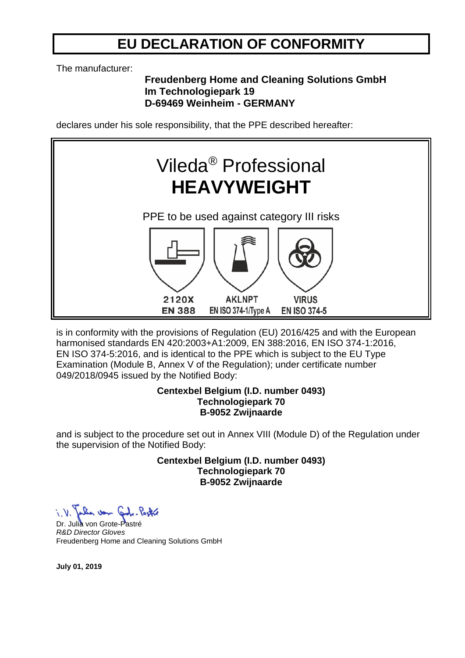## **EU DECLARATION OF CONFORMITY**

The manufacturer:

### **Freudenberg Home and Cleaning Solutions GmbH Im Technologiepark 19 D-69469 Weinheim - GERMANY**

declares under his sole responsibility, that the PPE described hereafter:



is in conformity with the provisions of Regulation (EU) 2016/425 and with the European harmonised standards EN 420:2003+A1:2009, EN 388:2016, EN ISO 374-1:2016, EN ISO 374-5:2016, and is identical to the PPE which is subject to the EU Type Examination (Module B, Annex V of the Regulation); under certificate number 049/2018/0945 issued by the Notified Body:

#### **Centexbel Belgium (I.D. number 0493) Technologiepark 70 B-9052 Zwijnaarde**

and is subject to the procedure set out in Annex VIII (Module D) of the Regulation under the supervision of the Notified Body:

> **Centexbel Belgium (I.D. number 0493) Technologiepark 70 B-9052 Zwijnaarde**

Dr. Julia von Grote-Pastré *R&D Director Gloves* Freudenberg Home and Cleaning Solutions GmbH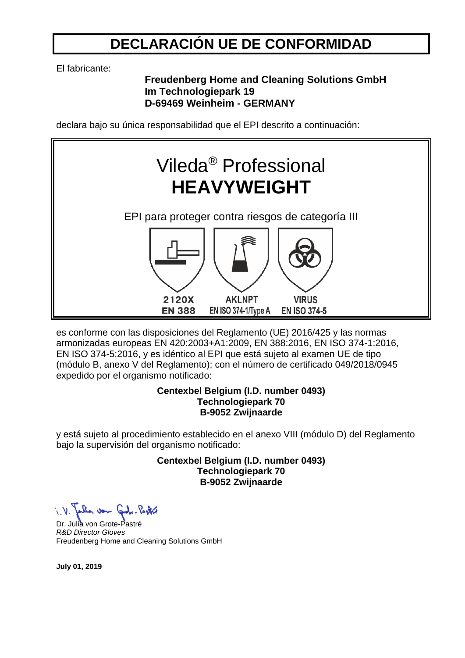## **DECLARACIÓN UE DE CONFORMIDAD**

El fabricante:

### **Freudenberg Home and Cleaning Solutions GmbH Im Technologiepark 19 D-69469 Weinheim - GERMANY**

declara bajo su única responsabilidad que el EPI descrito a continuación:



es conforme con las disposiciones del Reglamento (UE) 2016/425 y las normas armonizadas europeas EN 420:2003+A1:2009, EN 388:2016, EN ISO 374-1:2016, EN ISO 374-5:2016, y es idéntico al EPI que está sujeto al examen UE de tipo (módulo B, anexo V del Reglamento); con el número de certificado 049/2018/0945 expedido por el organismo notificado:

#### **Centexbel Belgium (I.D. number 0493) Technologiepark 70 B-9052 Zwijnaarde**

y está sujeto al procedimiento establecido en el anexo VIII (módulo D) del Reglamento bajo la supervisión del organismo notificado:

> **Centexbel Belgium (I.D. number 0493) Technologiepark 70 B-9052 Zwijnaarde**

Dr. Julia von Grote-Pastré *R&D Director Gloves* Freudenberg Home and Cleaning Solutions GmbH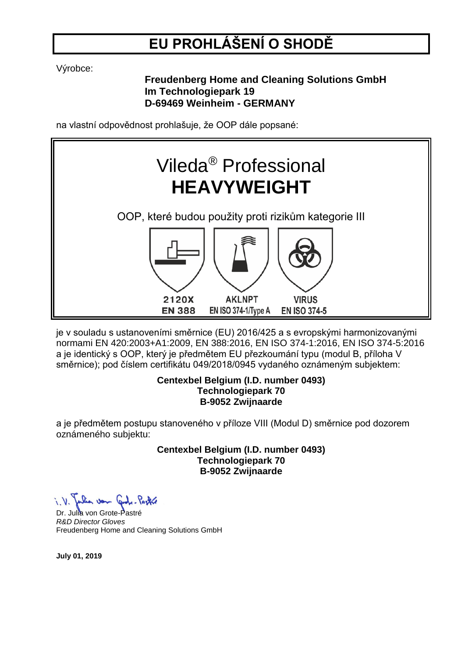# **EU PROHLÁŠENÍ O SHODĚ**

Výrobce:

**Freudenberg Home and Cleaning Solutions GmbH Im Technologiepark 19 D-69469 Weinheim - GERMANY**

na vlastní odpovědnost prohlašuje, že OOP dále popsané:



je v souladu s ustanoveními směrnice (EU) 2016/425 a s evropskými harmonizovanými normami EN 420:2003+A1:2009, EN 388:2016, EN ISO 374-1:2016, EN ISO 374-5:2016 a je identický s OOP, který je předmětem EU přezkoumání typu (modul B, příloha V směrnice); pod číslem certifikátu 049/2018/0945 vydaného oznámeným subjektem:

#### **Centexbel Belgium (I.D. number 0493) Technologiepark 70 B-9052 Zwijnaarde**

a je předmětem postupu stanoveného v příloze VIII (Modul D) směrnice pod dozorem oznámeného subjektu:

> **Centexbel Belgium (I.D. number 0493) Technologiepark 70 B-9052 Zwijnaarde**

i. V. Julia von Gute-Partie

Dr. Julia von Grote-Pastré *R&D Director Gloves* Freudenberg Home and Cleaning Solutions GmbH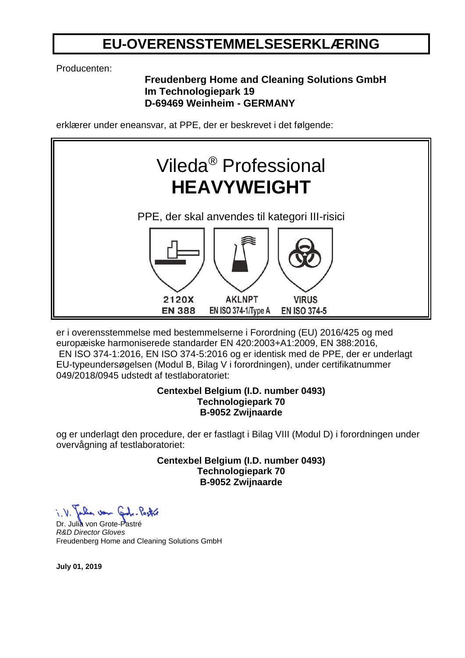## **EU-OVERENSSTEMMELSESERKLÆRING**

Producenten:

### **Freudenberg Home and Cleaning Solutions GmbH Im Technologiepark 19 D-69469 Weinheim - GERMANY**

erklærer under eneansvar, at PPE, der er beskrevet i det følgende:



er i overensstemmelse med bestemmelserne i Forordning (EU) 2016/425 og med europæiske harmoniserede standarder EN 420:2003+A1:2009, EN 388:2016, EN ISO 374-1:2016, EN ISO 374-5:2016 og er identisk med de PPE, der er underlagt EU-typeundersøgelsen (Modul B, Bilag V i forordningen), under certifikatnummer 049/2018/0945 udstedt af testlaboratoriet:

#### **Centexbel Belgium (I.D. number 0493) Technologiepark 70 B-9052 Zwijnaarde**

og er underlagt den procedure, der er fastlagt i Bilag VIII (Modul D) i forordningen under overvågning af testlaboratoriet:

> **Centexbel Belgium (I.D. number 0493) Technologiepark 70 B-9052 Zwijnaarde**

Dr. Julia von Grote-Pastré *R&D Director Gloves* Freudenberg Home and Cleaning Solutions GmbH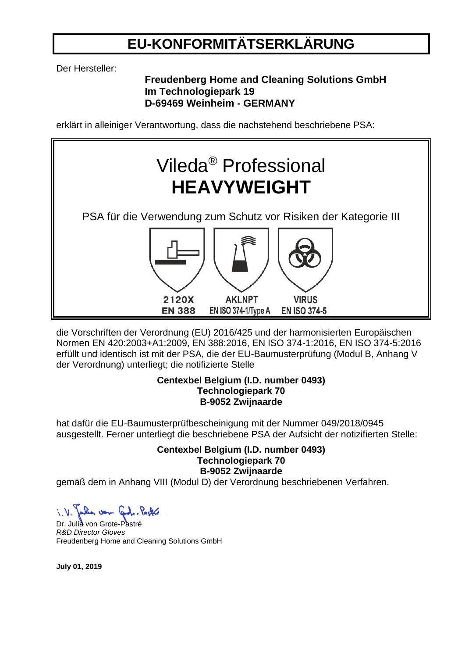## **EU-KONFORMITÄTSERKLÄRUNG**

Der Hersteller:

### **Freudenberg Home and Cleaning Solutions GmbH Im Technologiepark 19 D-69469 Weinheim - GERMANY**

erklärt in alleiniger Verantwortung, dass die nachstehend beschriebene PSA:



die Vorschriften der Verordnung (EU) 2016/425 und der harmonisierten Europäischen Normen EN 420:2003+A1:2009, EN 388:2016, EN ISO 374-1:2016, EN ISO 374-5:2016 erfüllt und identisch ist mit der PSA, die der EU-Baumusterprüfung (Modul B, Anhang V der Verordnung) unterliegt; die notifizierte Stelle

#### **Centexbel Belgium (I.D. number 0493) Technologiepark 70 B-9052 Zwijnaarde**

hat dafür die EU-Baumusterprüfbescheinigung mit der Nummer 049/2018/0945 ausgestellt. Ferner unterliegt die beschriebene PSA der Aufsicht der notizifierten Stelle:

### **Centexbel Belgium (I.D. number 0493) Technologiepark 70 B-9052 Zwijnaarde**

gemäß dem in Anhang VIII (Modul D) der Verordnung beschriebenen Verfahren.

Dr. Julia von Grote-Pastré *R&D Director Gloves* Freudenberg Home and Cleaning Solutions GmbH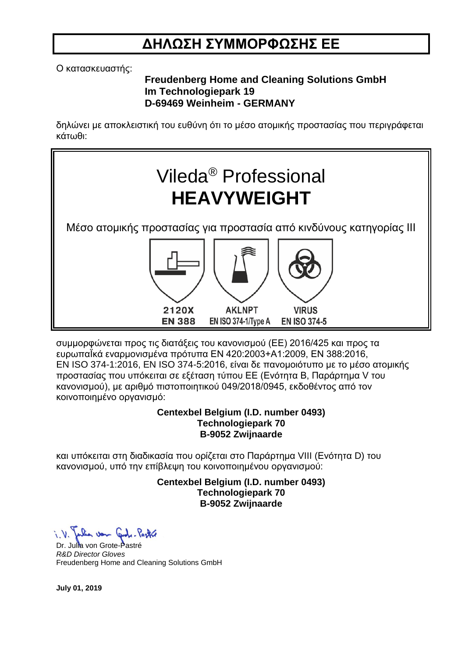## **ΔΗΛΩΣΗ ΣΥΜΜΟΡΦΩΣΗΣ ΕΕ**

Ο κατασκευαστής:

### **Freudenberg Home and Cleaning Solutions GmbH Im Technologiepark 19 D-69469 Weinheim - GERMANY**

δηλώνει με αποκλειστική του ευθύνη ότι το μέσο ατομικής προστασίας που περιγράφεται κάτωθι:



συμμορφώνεται προς τις διατάξεις του κανονισμού (ΕΕ) 2016/425 και προς τα ευρωπαΪκά εναρμονισμένα πρότυπα EN 420:2003+A1:2009, EN 388:2016, EN ISO 374-1:2016, EN ISO 374-5:2016, είναι δε πανομοιότυπο με το μέσο ατομικής προστασίας που υπόκειται σε εξέταση τύπου ΕΕ (Ενότητα Β, Παράρτημα V του κανονισμού), με αριθμό πιστοποιητικού 049/2018/0945, εκδοθέντος από τον κοινοποιημένο οργανισμό:

#### **Centexbel Belgium (I.D. number 0493) Technologiepark 70 B-9052 Zwijnaarde**

και υπόκειται στη διαδικασία που ορίζεται στο Παράρτημα VIII (Ενότητα D) του κανονισμού, υπό την επίβλεψη του κοινοποιημένου οργανισμού:

> **Centexbel Belgium (I.D. number 0493) Technologiepark 70 B-9052 Zwijnaarde**

when von Carl. Packed

Dr. Julia von Grote-Pastré *R&D Director Gloves* Freudenberg Home and Cleaning Solutions GmbH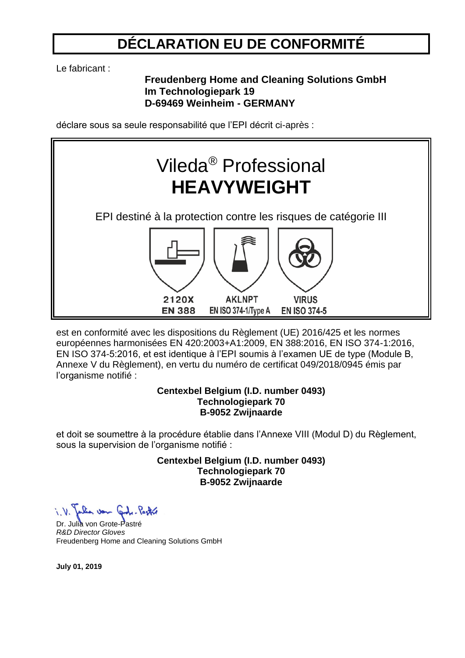## **DÉCLARATION EU DE CONFORMITÉ**

Le fabricant :

## **Freudenberg Home and Cleaning Solutions GmbH Im Technologiepark 19 D-69469 Weinheim - GERMANY**

déclare sous sa seule responsabilité que l'EPI décrit ci-après :



est en conformité avec les dispositions du Règlement (UE) 2016/425 et les normes européennes harmonisées EN 420:2003+A1:2009, EN 388:2016, EN ISO 374-1:2016, EN ISO 374-5:2016, et est identique à l'EPI soumis à l'examen UE de type (Module B, Annexe V du Règlement), en vertu du numéro de certificat 049/2018/0945 émis par l'organisme notifié :

#### **Centexbel Belgium (I.D. number 0493) Technologiepark 70 B-9052 Zwijnaarde**

et doit se soumettre à la procédure établie dans l'Annexe VIII (Modul D) du Règlement, sous la supervision de l'organisme notifié :

> **Centexbel Belgium (I.D. number 0493) Technologiepark 70 B-9052 Zwijnaarde**

Dr. Julia von Grote-Pastré *R&D Director Gloves* Freudenberg Home and Cleaning Solutions GmbH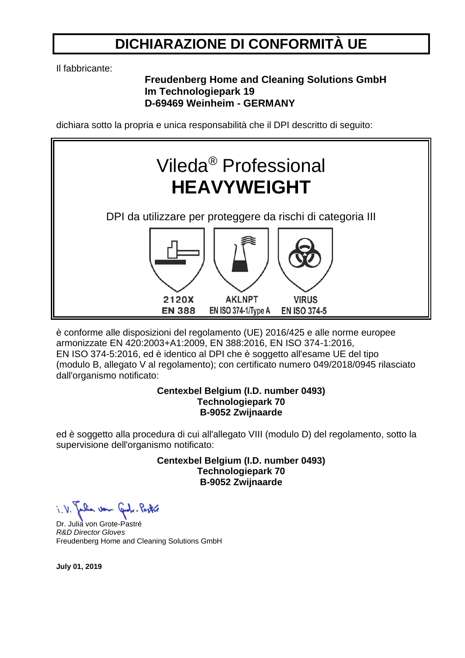## **DICHIARAZIONE DI CONFORMITÀ UE**

Il fabbricante:

## **Freudenberg Home and Cleaning Solutions GmbH Im Technologiepark 19 D-69469 Weinheim - GERMANY**

dichiara sotto la propria e unica responsabilità che il DPI descritto di seguito:



è conforme alle disposizioni del regolamento (UE) 2016/425 e alle norme europee armonizzate EN 420:2003+A1:2009, EN 388:2016, EN ISO 374-1:2016, EN ISO 374-5:2016, ed è identico al DPI che è soggetto all'esame UE del tipo (modulo B, allegato V al regolamento); con certificato numero 049/2018/0945 rilasciato dall'organismo notificato:

#### **Centexbel Belgium (I.D. number 0493) Technologiepark 70 B-9052 Zwijnaarde**

ed è soggetto alla procedura di cui all'allegato VIII (modulo D) del regolamento, sotto la supervisione dell'organismo notificato:

> **Centexbel Belgium (I.D. number 0493) Technologiepark 70 B-9052 Zwijnaarde**

Dr. Julia von Grote-Pastré *R&D Director Gloves* Freudenberg Home and Cleaning Solutions GmbH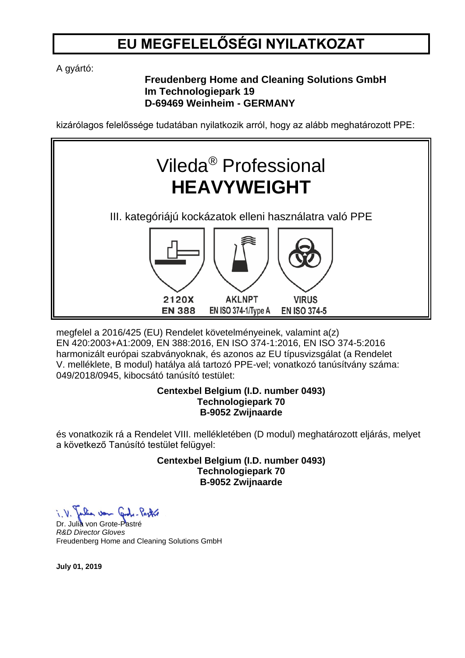## **EU MEGFELELŐSÉGI NYILATKOZAT**

A gyártó:

## **Freudenberg Home and Cleaning Solutions GmbH Im Technologiepark 19 D-69469 Weinheim - GERMANY**

kizárólagos felelőssége tudatában nyilatkozik arról, hogy az alább meghatározott PPE:



megfelel a 2016/425 (EU) Rendelet követelményeinek, valamint a(z) EN 420:2003+A1:2009, EN 388:2016, EN ISO 374-1:2016, EN ISO 374-5:2016 harmonizált európai szabványoknak, és azonos az EU típusvizsgálat (a Rendelet V. melléklete, B modul) hatálya alá tartozó PPE-vel; vonatkozó tanúsítvány száma: 049/2018/0945, kibocsátó tanúsító testület:

### **Centexbel Belgium (I.D. number 0493) Technologiepark 70 B-9052 Zwijnaarde**

és vonatkozik rá a Rendelet VIII. mellékletében (D modul) meghatározott eljárás, melyet a következő Tanúsító testület felügyel:

> **Centexbel Belgium (I.D. number 0493) Technologiepark 70 B-9052 Zwijnaarde**

Dr. Julia von Grote-Pastré *R&D Director Gloves* Freudenberg Home and Cleaning Solutions GmbH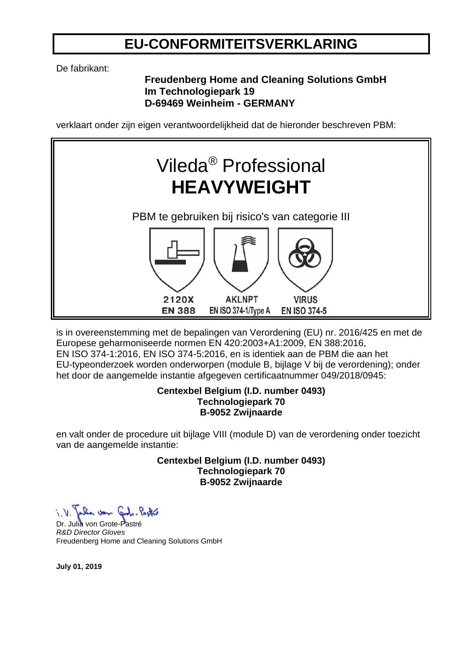## **EU-CONFORMITEITSVERKLARING**

De fabrikant:

## **Freudenberg Home and Cleaning Solutions GmbH Im Technologiepark 19 D-69469 Weinheim - GERMANY**

verklaart onder zijn eigen verantwoordelijkheid dat de hieronder beschreven PBM:



is in overeenstemming met de bepalingen van Verordening (EU) nr. 2016/425 en met de Europese geharmoniseerde normen EN 420:2003+A1:2009, EN 388:2016, EN ISO 374-1:2016, EN ISO 374-5:2016, en is identiek aan de PBM die aan het EU-typeonderzoek worden onderworpen (module B, bijlage V bij de verordening); onder het door de aangemelde instantie afgegeven certificaatnummer 049/2018/0945:

#### **Centexbel Belgium (I.D. number 0493) Technologiepark 70 B-9052 Zwijnaarde**

en valt onder de procedure uit bijlage VIII (module D) van de verordening onder toezicht van de aangemelde instantie:

> **Centexbel Belgium (I.D. number 0493) Technologiepark 70 B-9052 Zwijnaarde**

Dr. Julia von Grote-Pastré *R&D Director Gloves* Freudenberg Home and Cleaning Solutions GmbH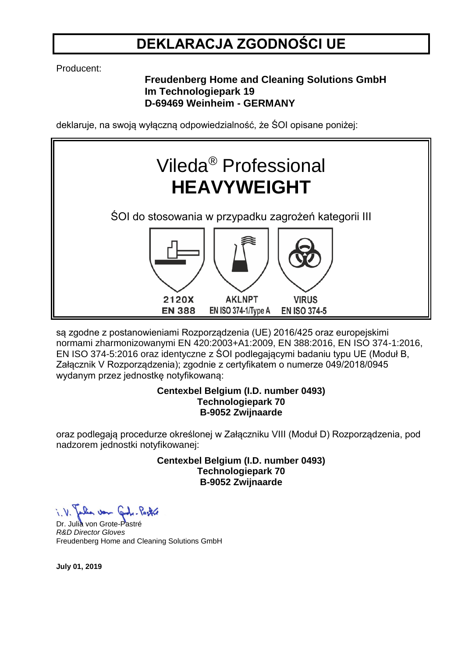## **DEKLARACJA ZGODNOŚCI UE**

Producent:

## **Freudenberg Home and Cleaning Solutions GmbH Im Technologiepark 19 D-69469 Weinheim - GERMANY**

deklaruje, na swoją wyłączną odpowiedzialność, że ŚOI opisane poniżej:



są zgodne z postanowieniami Rozporządzenia (UE) 2016/425 oraz europejskimi normami zharmonizowanymi EN 420:2003+A1:2009, EN 388:2016, EN ISO 374-1:2016, EN ISO 374-5:2016 oraz identyczne z ŚOI podlegającymi badaniu typu UE (Moduł B, Załącznik V Rozporządzenia); zgodnie z certyfikatem o numerze 049/2018/0945 wydanym przez jednostkę notyfikowaną:

### **Centexbel Belgium (I.D. number 0493) Technologiepark 70 B-9052 Zwijnaarde**

oraz podlegają procedurze określonej w Załączniku VIII (Moduł D) Rozporządzenia, pod nadzorem jednostki notyfikowanej:

> **Centexbel Belgium (I.D. number 0493) Technologiepark 70 B-9052 Zwijnaarde**

Dr. Julia von Grote-Pastré *R&D Director Gloves* Freudenberg Home and Cleaning Solutions GmbH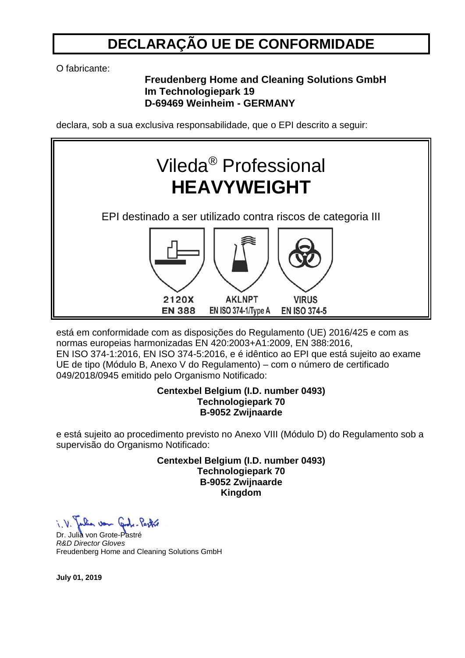## **DECLARAÇÃO UE DE CONFORMIDADE**

O fabricante:

### **Freudenberg Home and Cleaning Solutions GmbH Im Technologiepark 19 D-69469 Weinheim - GERMANY**

declara, sob a sua exclusiva responsabilidade, que o EPI descrito a seguir:



está em conformidade com as disposições do Regulamento (UE) 2016/425 e com as normas europeias harmonizadas EN 420:2003+A1:2009, EN 388:2016, EN ISO 374-1:2016, EN ISO 374-5:2016, e é idêntico ao EPI que está sujeito ao exame UE de tipo (Módulo B, Anexo V do Regulamento) – com o número de certificado 049/2018/0945 emitido pelo Organismo Notificado:

#### **Centexbel Belgium (I.D. number 0493) Technologiepark 70 B-9052 Zwijnaarde**

e está sujeito ao procedimento previsto no Anexo VIII (Módulo D) do Regulamento sob a supervisão do Organismo Notificado:

> **Centexbel Belgium (I.D. number 0493) Technologiepark 70 B-9052 Zwijnaarde Kingdom**

Julia von Gode-Pastre

Dr. Julia von Grote-Pastre *R&D Director Gloves* Freudenberg Home and Cleaning Solutions GmbH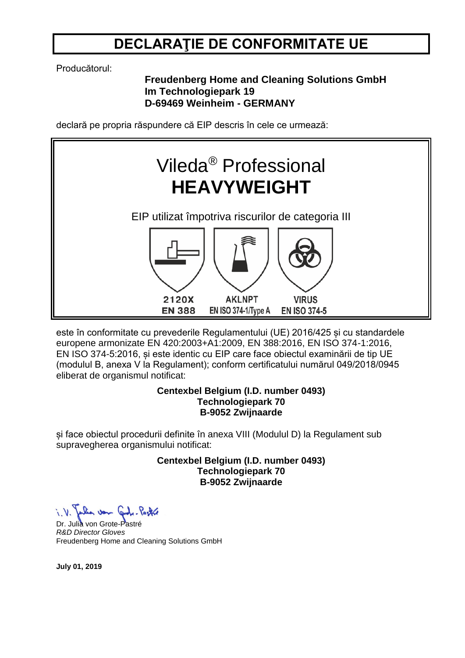## **DECLARAŢIE DE CONFORMITATE UE**

Producătorul:

## **Freudenberg Home and Cleaning Solutions GmbH Im Technologiepark 19 D-69469 Weinheim - GERMANY**

declară pe propria răspundere că EIP descris în cele ce urmează:



este în conformitate cu prevederile Regulamentului (UE) 2016/425 și cu standardele europene armonizate EN 420:2003+A1:2009, EN 388:2016, EN ISO 374-1:2016, EN ISO 374-5:2016, și este identic cu EIP care face obiectul examinării de tip UE (modulul B, anexa V la Regulament); conform certificatului numărul 049/2018/0945 eliberat de organismul notificat:

#### **Centexbel Belgium (I.D. number 0493) Technologiepark 70 B-9052 Zwijnaarde**

și face obiectul procedurii definite în anexa VIII (Modulul D) la Regulament sub supravegherea organismului notificat:

> **Centexbel Belgium (I.D. number 0493) Technologiepark 70 B-9052 Zwijnaarde**

Dr. Julia von Grote-Pastré *R&D Director Gloves* Freudenberg Home and Cleaning Solutions GmbH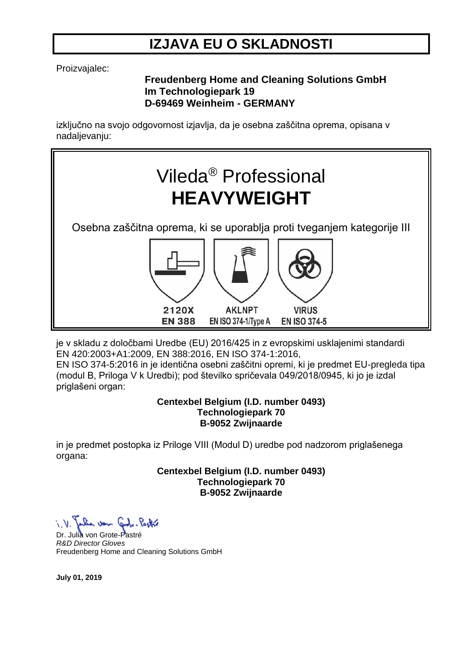## **IZJAVA EU O SKLADNOSTI**

Proizvajalec:

### **Freudenberg Home and Cleaning Solutions GmbH Im Technologiepark 19 D-69469 Weinheim - GERMANY**

izključno na svojo odgovornost izjavlja, da je osebna zaščitna oprema, opisana v nadaljevanju:



je v skladu z določbami Uredbe (EU) 2016/425 in z evropskimi usklajenimi standardi EN 420:2003+A1:2009, EN 388:2016, EN ISO 374-1:2016, EN ISO 374-5:2016 in je identična osebni zaščitni opremi, ki je predmet EU-pregleda tipa (modul B, Priloga V k Uredbi); pod številko spričevala 049/2018/0945, ki jo je izdal priglašeni organ:

#### **Centexbel Belgium (I.D. number 0493) Technologiepark 70 B-9052 Zwijnaarde**

in je predmet postopka iz Priloge VIII (Modul D) uredbe pod nadzorom priglašenega organa:

> **Centexbel Belgium (I.D. number 0493) Technologiepark 70 B-9052 Zwijnaarde**

Julia von Code-Pastro

Dr. Julia von Grote-Pastré *R&D Director Gloves* Freudenberg Home and Cleaning Solutions GmbH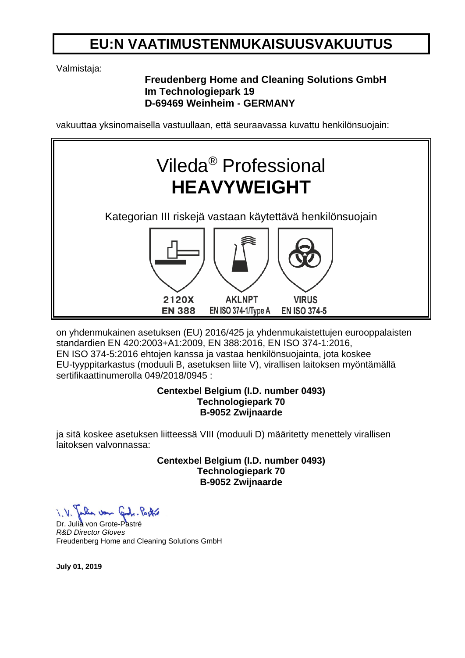## **EU:N VAATIMUSTENMUKAISUUSVAKUUTUS**

Valmistaja:

## **Freudenberg Home and Cleaning Solutions GmbH Im Technologiepark 19 D-69469 Weinheim - GERMANY**

vakuuttaa yksinomaisella vastuullaan, että seuraavassa kuvattu henkilönsuojain:



on yhdenmukainen asetuksen (EU) 2016/425 ja yhdenmukaistettujen eurooppalaisten standardien EN 420:2003+A1:2009, EN 388:2016, EN ISO 374-1:2016, EN ISO 374-5:2016 ehtojen kanssa ja vastaa henkilönsuojainta, jota koskee EU-tyyppitarkastus (moduuli B, asetuksen liite V), virallisen laitoksen myöntämällä sertifikaattinumerolla 049/2018/0945 :

### **Centexbel Belgium (I.D. number 0493) Technologiepark 70 B-9052 Zwijnaarde**

ja sitä koskee asetuksen liitteessä VIII (moduuli D) määritetty menettely virallisen laitoksen valvonnassa:

> **Centexbel Belgium (I.D. number 0493) Technologiepark 70 B-9052 Zwijnaarde**

Dr. Julia von Grote-Pastré *R&D Director Gloves* Freudenberg Home and Cleaning Solutions GmbH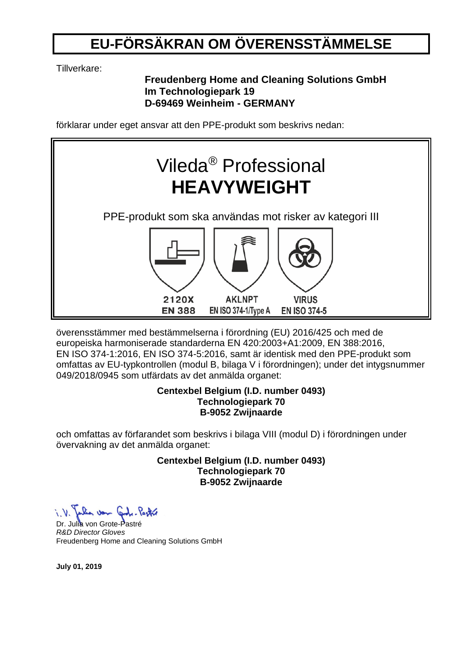# **EU-FÖRSÄKRAN OM ÖVERENSSTÄMMELSE**

Tillverkare:

### **Freudenberg Home and Cleaning Solutions GmbH Im Technologiepark 19 D-69469 Weinheim - GERMANY**

förklarar under eget ansvar att den PPE-produkt som beskrivs nedan:



överensstämmer med bestämmelserna i förordning (EU) 2016/425 och med de europeiska harmoniserade standarderna EN 420:2003+A1:2009, EN 388:2016, EN ISO 374-1:2016, EN ISO 374-5:2016, samt är identisk med den PPE-produkt som omfattas av EU-typkontrollen (modul B, bilaga V i förordningen); under det intygsnummer 049/2018/0945 som utfärdats av det anmälda organet:

#### **Centexbel Belgium (I.D. number 0493) Technologiepark 70 B-9052 Zwijnaarde**

och omfattas av förfarandet som beskrivs i bilaga VIII (modul D) i förordningen under övervakning av det anmälda organet:

> **Centexbel Belgium (I.D. number 0493) Technologiepark 70 B-9052 Zwijnaarde**

Dr. Julia von Grote-Pastré *R&D Director Gloves* Freudenberg Home and Cleaning Solutions GmbH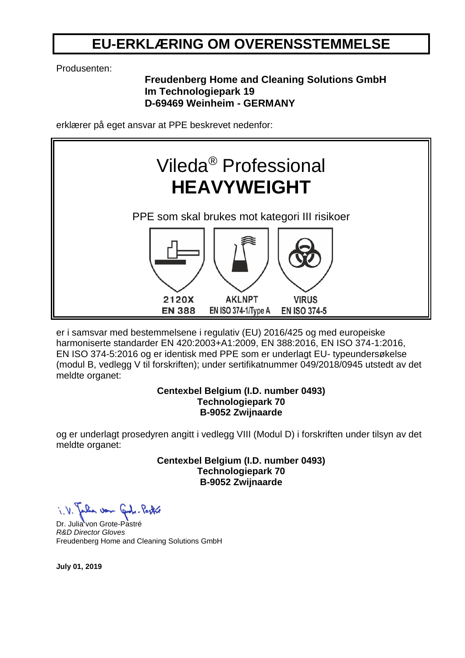## **EU-ERKLÆRING OM OVERENSSTEMMELSE**

Produsenten:

## **Freudenberg Home and Cleaning Solutions GmbH Im Technologiepark 19 D-69469 Weinheim - GERMANY**

erklærer på eget ansvar at PPE beskrevet nedenfor:



er i samsvar med bestemmelsene i regulativ (EU) 2016/425 og med europeiske harmoniserte standarder EN 420:2003+A1:2009, EN 388:2016, EN ISO 374-1:2016, EN ISO 374-5:2016 og er identisk med PPE som er underlagt EU- typeundersøkelse (modul B, vedlegg V til forskriften); under sertifikatnummer 049/2018/0945 utstedt av det meldte organet:

#### **Centexbel Belgium (I.D. number 0493) Technologiepark 70 B-9052 Zwijnaarde**

og er underlagt prosedyren angitt i vedlegg VIII (Modul D) i forskriften under tilsyn av det meldte organet:

> **Centexbel Belgium (I.D. number 0493) Technologiepark 70 B-9052 Zwijnaarde**

Dr. Julia von Grote-Pastré *R&D Director Gloves* Freudenberg Home and Cleaning Solutions GmbH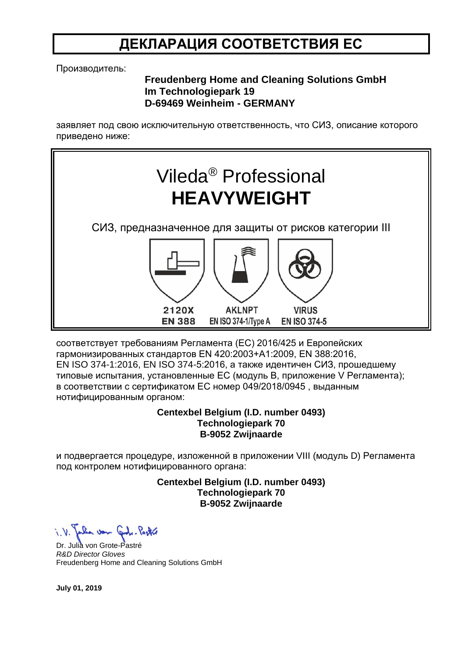## **ДЕКЛАРАЦИЯ СООТВЕТСТВИЯ ЕС**

Производитель:

### **Freudenberg Home and Cleaning Solutions GmbH Im Technologiepark 19 D-69469 Weinheim - GERMANY**

заявляет под свою исключительную ответственность, что СИЗ, описание которого приведено ниже:



соответствует требованиям Регламента (ЕС) 2016/425 и Европейских гармонизированных стандартов EN 420:2003+A1:2009, EN 388:2016, EN ISO 374-1:2016, EN ISO 374-5:2016, а также идентичен СИЗ, прошедшему типовые испытания, установленные ЕС (модуль B, приложение V Регламента); в соответствии с сертификатом ЕС номер 049/2018/0945 , выданным нотифицированным органом:

#### **Centexbel Belgium (I.D. number 0493) Technologiepark 70 B-9052 Zwijnaarde**

и подвергается процедуре, изложенной в приложении VIII (модуль D) Регламента под контролем нотифицированного органа:

> **Centexbel Belgium (I.D. number 0493) Technologiepark 70 B-9052 Zwijnaarde**

Julia von Code-Pastre

Dr. Julia von Grote-Pastré *R&D Director Gloves* Freudenberg Home and Cleaning Solutions GmbH